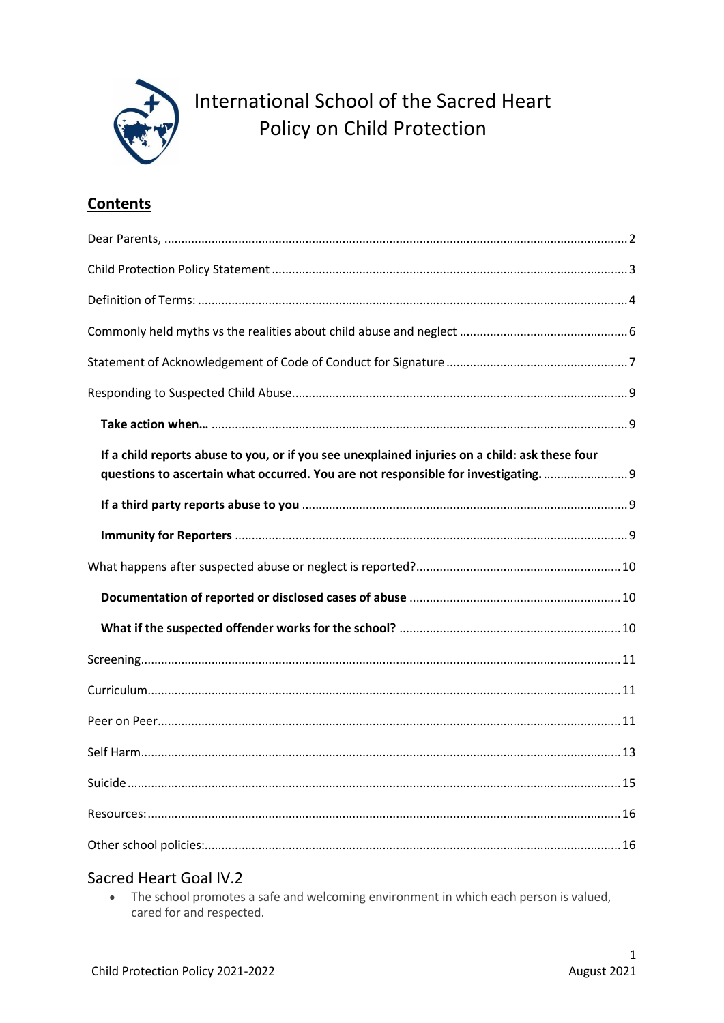

International School of the Sacred Heart Policy on Child Protection

## **Contents**

| If a child reports abuse to you, or if you see unexplained injuries on a child: ask these four<br>questions to ascertain what occurred. You are not responsible for investigating.  9 |
|---------------------------------------------------------------------------------------------------------------------------------------------------------------------------------------|
|                                                                                                                                                                                       |
|                                                                                                                                                                                       |
|                                                                                                                                                                                       |
|                                                                                                                                                                                       |
|                                                                                                                                                                                       |
|                                                                                                                                                                                       |
|                                                                                                                                                                                       |
|                                                                                                                                                                                       |
|                                                                                                                                                                                       |
|                                                                                                                                                                                       |
|                                                                                                                                                                                       |
|                                                                                                                                                                                       |

### Sacred Heart Goal IV.2

• The school promotes a safe and welcoming environment in which each person is valued, cared for and respected.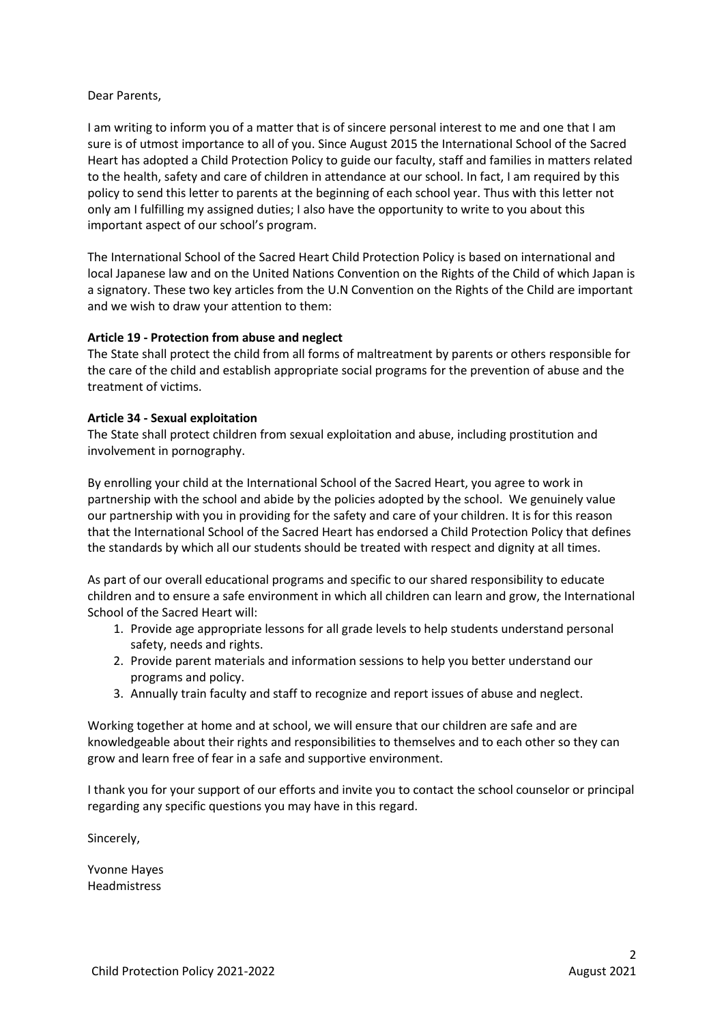#### <span id="page-1-0"></span>Dear Parents,

I am writing to inform you of a matter that is of sincere personal interest to me and one that I am sure is of utmost importance to all of you. Since August 2015 the International School of the Sacred Heart has adopted a Child Protection Policy to guide our faculty, staff and families in matters related to the health, safety and care of children in attendance at our school. In fact, I am required by this policy to send this letter to parents at the beginning of each school year. Thus with this letter not only am I fulfilling my assigned duties; I also have the opportunity to write to you about this important aspect of our school's program.

The International School of the Sacred Heart Child Protection Policy is based on international and local Japanese law and on the United Nations Convention on the Rights of the Child of which Japan is a signatory. These two key articles from the U.N Convention on the Rights of the Child are important and we wish to draw your attention to them:

#### **Article 19 - Protection from abuse and neglect**

The State shall protect the child from all forms of maltreatment by parents or others responsible for the care of the child and establish appropriate social programs for the prevention of abuse and the treatment of victims.

#### **Article 34 - Sexual exploitation**

The State shall protect children from sexual exploitation and abuse, including prostitution and involvement in pornography.

By enrolling your child at the International School of the Sacred Heart, you agree to work in partnership with the school and abide by the policies adopted by the school. We genuinely value our partnership with you in providing for the safety and care of your children. It is for this reason that the International School of the Sacred Heart has endorsed a Child Protection Policy that defines the standards by which all our students should be treated with respect and dignity at all times.

As part of our overall educational programs and specific to our shared responsibility to educate children and to ensure a safe environment in which all children can learn and grow, the International School of the Sacred Heart will:

- 1. Provide age appropriate lessons for all grade levels to help students understand personal safety, needs and rights.
- 2. Provide parent materials and information sessions to help you better understand our programs and policy.
- 3. Annually train faculty and staff to recognize and report issues of abuse and neglect.

Working together at home and at school, we will ensure that our children are safe and are knowledgeable about their rights and responsibilities to themselves and to each other so they can grow and learn free of fear in a safe and supportive environment.

I thank you for your support of our efforts and invite you to contact the school counselor or principal regarding any specific questions you may have in this regard.

Sincerely,

Yvonne Hayes Headmistress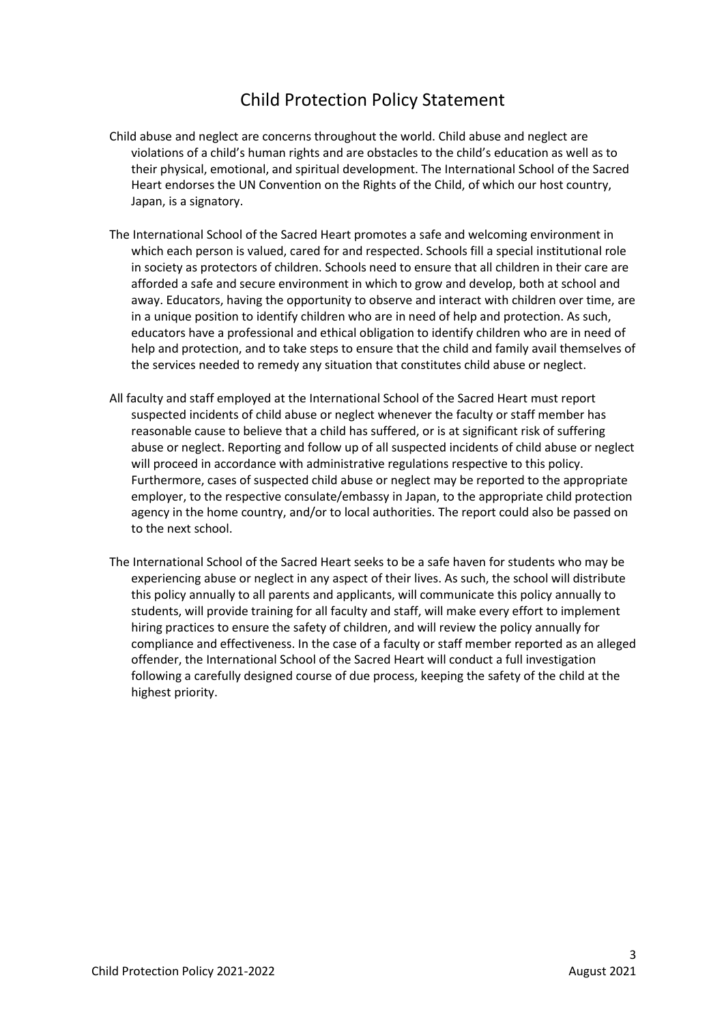# Child Protection Policy Statement

- <span id="page-2-0"></span>Child abuse and neglect are concerns throughout the world. Child abuse and neglect are violations of a child's human rights and are obstacles to the child's education as well as to their physical, emotional, and spiritual development. The International School of the Sacred Heart endorses the UN Convention on the Rights of the Child, of which our host country, Japan, is a signatory.
- The International School of the Sacred Heart promotes a safe and welcoming environment in which each person is valued, cared for and respected. Schools fill a special institutional role in society as protectors of children. Schools need to ensure that all children in their care are afforded a safe and secure environment in which to grow and develop, both at school and away. Educators, having the opportunity to observe and interact with children over time, are in a unique position to identify children who are in need of help and protection. As such, educators have a professional and ethical obligation to identify children who are in need of help and protection, and to take steps to ensure that the child and family avail themselves of the services needed to remedy any situation that constitutes child abuse or neglect.
- All faculty and staff employed at the International School of the Sacred Heart must report suspected incidents of child abuse or neglect whenever the faculty or staff member has reasonable cause to believe that a child has suffered, or is at significant risk of suffering abuse or neglect. Reporting and follow up of all suspected incidents of child abuse or neglect will proceed in accordance with administrative regulations respective to this policy. Furthermore, cases of suspected child abuse or neglect may be reported to the appropriate employer, to the respective consulate/embassy in Japan, to the appropriate child protection agency in the home country, and/or to local authorities. The report could also be passed on to the next school.
- The International School of the Sacred Heart seeks to be a safe haven for students who may be experiencing abuse or neglect in any aspect of their lives. As such, the school will distribute this policy annually to all parents and applicants, will communicate this policy annually to students, will provide training for all faculty and staff, will make every effort to implement hiring practices to ensure the safety of children, and will review the policy annually for compliance and effectiveness. In the case of a faculty or staff member reported as an alleged offender, the International School of the Sacred Heart will conduct a full investigation following a carefully designed course of due process, keeping the safety of the child at the highest priority.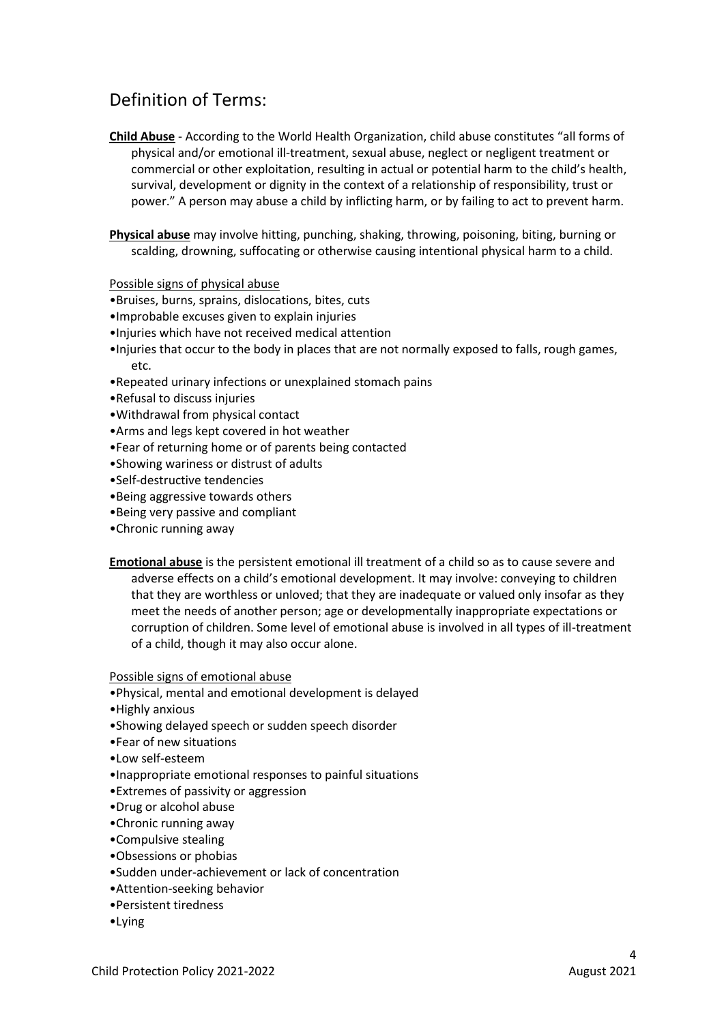# <span id="page-3-0"></span>Definition of Terms:

**Child Abuse** - According to the World Health Organization, child abuse constitutes "all forms of physical and/or emotional ill-treatment, sexual abuse, neglect or negligent treatment or commercial or other exploitation, resulting in actual or potential harm to the child's health, survival, development or dignity in the context of a relationship of responsibility, trust or power." A person may abuse a child by inflicting harm, or by failing to act to prevent harm.

**Physical abuse** may involve hitting, punching, shaking, throwing, poisoning, biting, burning or scalding, drowning, suffocating or otherwise causing intentional physical harm to a child.

#### Possible signs of physical abuse

- •Bruises, burns, sprains, dislocations, bites, cuts
- •Improbable excuses given to explain injuries
- •Injuries which have not received medical attention
- •Injuries that occur to the body in places that are not normally exposed to falls, rough games, etc.
- •Repeated urinary infections or unexplained stomach pains
- •Refusal to discuss injuries
- •Withdrawal from physical contact
- •Arms and legs kept covered in hot weather
- •Fear of returning home or of parents being contacted
- •Showing wariness or distrust of adults
- •Self-destructive tendencies
- •Being aggressive towards others
- •Being very passive and compliant
- •Chronic running away
- **Emotional abuse** is the persistent emotional ill treatment of a child so as to cause severe and adverse effects on a child's emotional development. It may involve: conveying to children that they are worthless or unloved; that they are inadequate or valued only insofar as they meet the needs of another person; age or developmentally inappropriate expectations or corruption of children. Some level of emotional abuse is involved in all types of ill-treatment of a child, though it may also occur alone.

#### Possible signs of emotional abuse

•Physical, mental and emotional development is delayed

- •Highly anxious
- •Showing delayed speech or sudden speech disorder
- •Fear of new situations
- •Low self-esteem
- •Inappropriate emotional responses to painful situations
- •Extremes of passivity or aggression
- •Drug or alcohol abuse
- •Chronic running away
- •Compulsive stealing
- •Obsessions or phobias
- •Sudden under-achievement or lack of concentration
- •Attention-seeking behavior
- •Persistent tiredness
- •Lying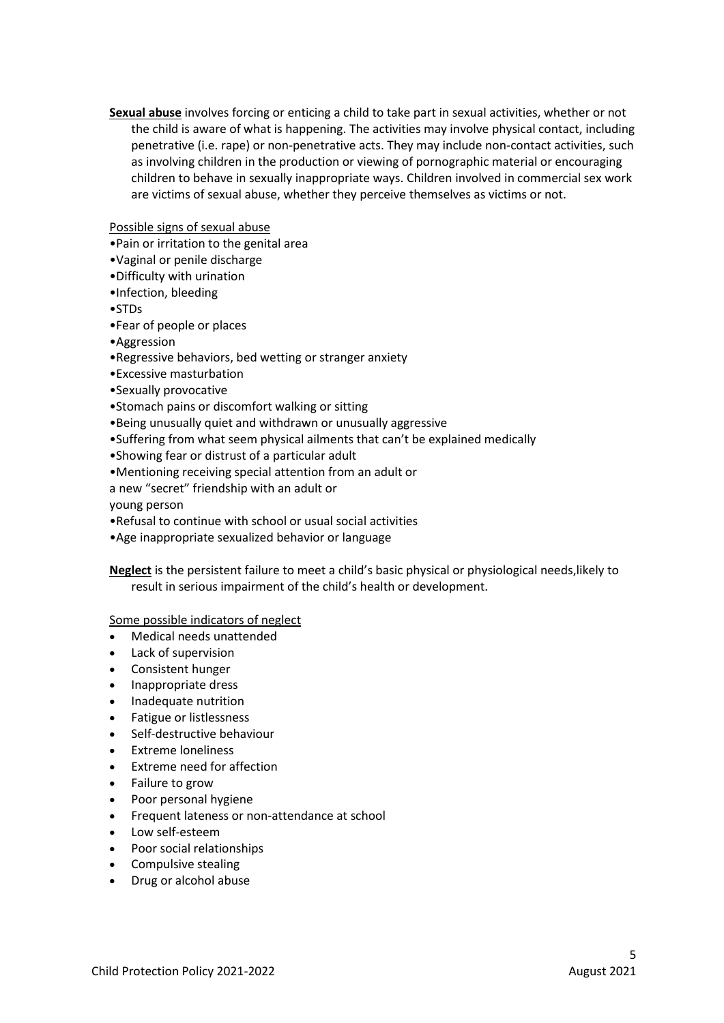**Sexual abuse** involves forcing or enticing a child to take part in sexual activities, whether or not the child is aware of what is happening. The activities may involve physical contact, including penetrative (i.e. rape) or non-penetrative acts. They may include non-contact activities, such as involving children in the production or viewing of pornographic material or encouraging children to behave in sexually inappropriate ways. Children involved in commercial sex work are victims of sexual abuse, whether they perceive themselves as victims or not.

#### Possible signs of sexual abuse

- •Pain or irritation to the genital area
- •Vaginal or penile discharge
- •Difficulty with urination
- •Infection, bleeding
- •STDs
- •Fear of people or places
- •Aggression
- •Regressive behaviors, bed wetting or stranger anxiety
- •Excessive masturbation
- •Sexually provocative
- •Stomach pains or discomfort walking or sitting
- •Being unusually quiet and withdrawn or unusually aggressive
- •Suffering from what seem physical ailments that can't be explained medically
- •Showing fear or distrust of a particular adult
- •Mentioning receiving special attention from an adult or
- a new "secret" friendship with an adult or

young person

- •Refusal to continue with school or usual social activities
- •Age inappropriate sexualized behavior or language

**Neglect** is the persistent failure to meet a child's basic physical or physiological needs,likely to result in serious impairment of the child's health or development.

Some possible indicators of neglect

- Medical needs unattended
- Lack of supervision
- Consistent hunger
- Inappropriate dress
- Inadequate nutrition
- Fatigue or listlessness
- Self-destructive behaviour
- Extreme loneliness
- Extreme need for affection
- Failure to grow
- Poor personal hygiene
- Frequent lateness or non-attendance at school
- Low self-esteem
- Poor social relationships
- Compulsive stealing
- Drug or alcohol abuse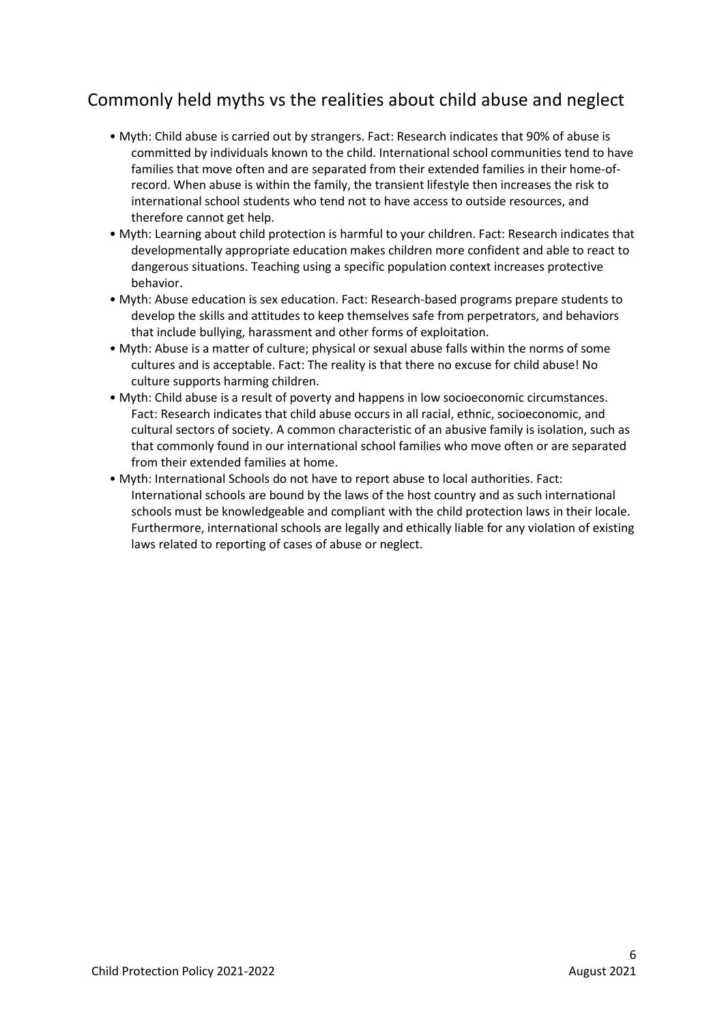# <span id="page-5-0"></span>Commonly held myths vs the realities about child abuse and neglect

- Myth: Child abuse is carried out by strangers. Fact: Research indicates that 90% of abuse is committed by individuals known to the child. International school communities tend to have families that move often and are separated from their extended families in their home-ofrecord. When abuse is within the family, the transient lifestyle then increases the risk to international school students who tend not to have access to outside resources, and therefore cannot get help.
- Myth: Learning about child protection is harmful to your children. Fact: Research indicates that developmentally appropriate education makes children more confident and able to react to dangerous situations. Teaching using a specific population context increases protective behavior.
- Myth: Abuse education is sex education. Fact: Research-based programs prepare students to develop the skills and attitudes to keep themselves safe from perpetrators, and behaviors that include bullying, harassment and other forms of exploitation.
- Myth: Abuse is a matter of culture; physical or sexual abuse falls within the norms of some cultures and is acceptable. Fact: The reality is that there no excuse for child abuse! No culture supports harming children.
- Myth: Child abuse is a result of poverty and happens in low socioeconomic circumstances. Fact: Research indicates that child abuse occurs in all racial, ethnic, socioeconomic, and cultural sectors of society. A common characteristic of an abusive family is isolation, such as that commonly found in our international school families who move often or are separated from their extended families at home.
- Myth: International Schools do not have to report abuse to local authorities. Fact: International schools are bound by the laws of the host country and as such international schools must be knowledgeable and compliant with the child protection laws in their locale. Furthermore, international schools are legally and ethically liable for any violation of existing laws related to reporting of cases of abuse or neglect.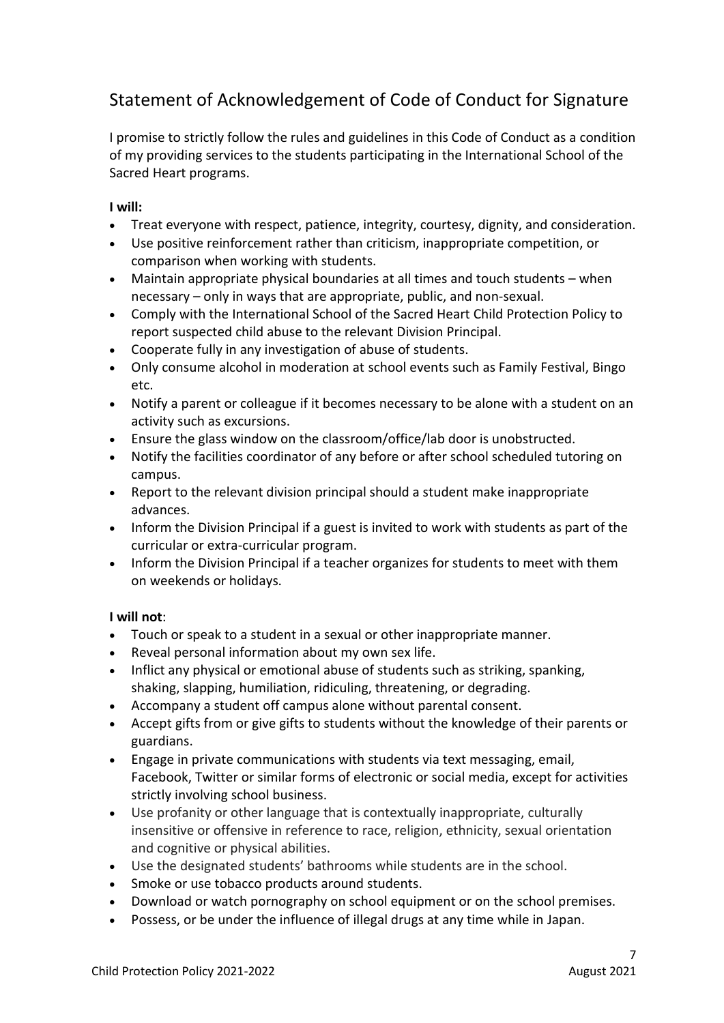# <span id="page-6-0"></span>Statement of Acknowledgement of Code of Conduct for Signature

I promise to strictly follow the rules and guidelines in this Code of Conduct as a condition of my providing services to the students participating in the International School of the Sacred Heart programs.

### **I will:**

- Treat everyone with respect, patience, integrity, courtesy, dignity, and consideration.
- Use positive reinforcement rather than criticism, inappropriate competition, or comparison when working with students.
- Maintain appropriate physical boundaries at all times and touch students when necessary – only in ways that are appropriate, public, and non-sexual.
- Comply with the International School of the Sacred Heart Child Protection Policy to report suspected child abuse to the relevant Division Principal.
- Cooperate fully in any investigation of abuse of students.
- Only consume alcohol in moderation at school events such as Family Festival, Bingo etc.
- Notify a parent or colleague if it becomes necessary to be alone with a student on an activity such as excursions.
- Ensure the glass window on the classroom/office/lab door is unobstructed.
- Notify the facilities coordinator of any before or after school scheduled tutoring on campus.
- Report to the relevant division principal should a student make inappropriate advances.
- Inform the Division Principal if a guest is invited to work with students as part of the curricular or extra-curricular program.
- Inform the Division Principal if a teacher organizes for students to meet with them on weekends or holidays.

### **I will not**:

- Touch or speak to a student in a sexual or other inappropriate manner.
- Reveal personal information about my own sex life.
- Inflict any physical or emotional abuse of students such as striking, spanking, shaking, slapping, humiliation, ridiculing, threatening, or degrading.
- Accompany a student off campus alone without parental consent.
- Accept gifts from or give gifts to students without the knowledge of their parents or guardians.
- Engage in private communications with students via text messaging, email, Facebook, Twitter or similar forms of electronic or social media, except for activities strictly involving school business.
- Use profanity or other language that is contextually inappropriate, culturally insensitive or offensive in reference to race, religion, ethnicity, sexual orientation and cognitive or physical abilities.
- Use the designated students' bathrooms while students are in the school.
- Smoke or use tobacco products around students.
- Download or watch pornography on school equipment or on the school premises.
- Possess, or be under the influence of illegal drugs at any time while in Japan.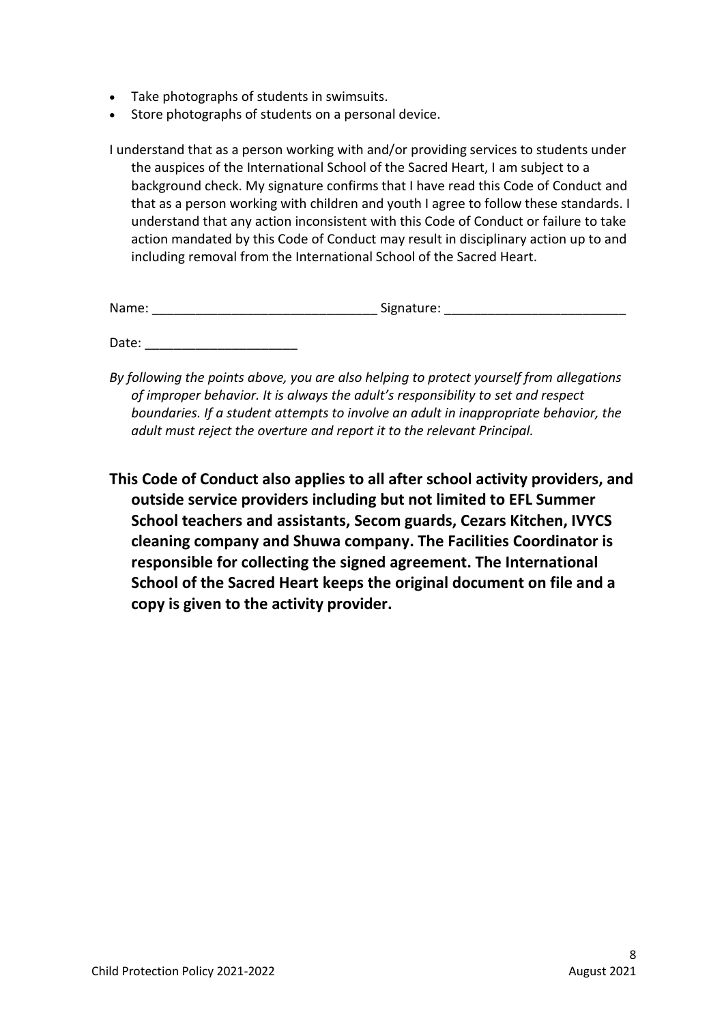- Take photographs of students in swimsuits.
- Store photographs of students on a personal device.

I understand that as a person working with and/or providing services to students under the auspices of the International School of the Sacred Heart, I am subject to a background check. My signature confirms that I have read this Code of Conduct and that as a person working with children and youth I agree to follow these standards. I understand that any action inconsistent with this Code of Conduct or failure to take action mandated by this Code of Conduct may result in disciplinary action up to and including removal from the International School of the Sacred Heart.

| Name: | Signature: |
|-------|------------|
|       |            |

Date:

- *By following the points above, you are also helping to protect yourself from allegations of improper behavior. It is always the adult's responsibility to set and respect boundaries. If a student attempts to involve an adult in inappropriate behavior, the adult must reject the overture and report it to the relevant Principal.*
- **This Code of Conduct also applies to all after school activity providers, and outside service providers including but not limited to EFL Summer School teachers and assistants, Secom guards, Cezars Kitchen, IVYCS cleaning company and Shuwa company. The Facilities Coordinator is responsible for collecting the signed agreement. The International School of the Sacred Heart keeps the original document on file and a copy is given to the activity provider.**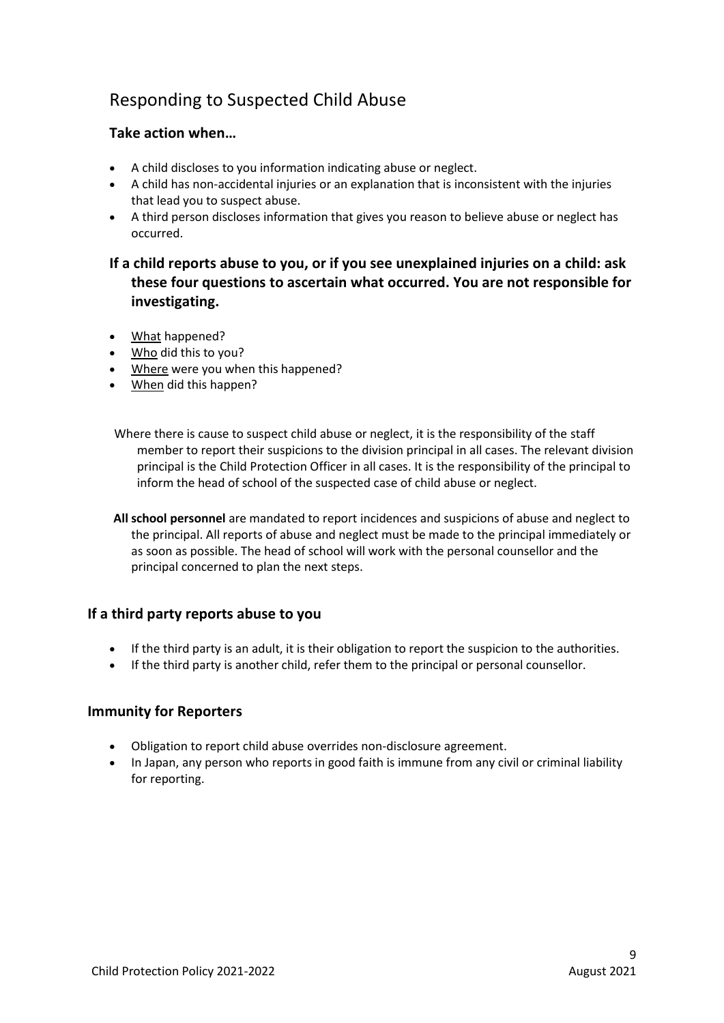# <span id="page-8-0"></span>Responding to Suspected Child Abuse

### <span id="page-8-1"></span>**Take action when…**

- A child discloses to you information indicating abuse or neglect.
- A child has non-accidental injuries or an explanation that is inconsistent with the injuries that lead you to suspect abuse.
- A third person discloses information that gives you reason to believe abuse or neglect has occurred.

### <span id="page-8-2"></span>**If a child reports abuse to you, or if you see unexplained injuries on a child: ask these four questions to ascertain what occurred. You are not responsible for investigating.**

- What happened?
- Who did this to you?
- Where were you when this happened?
- When did this happen?

Where there is cause to suspect child abuse or neglect, it is the responsibility of the staff member to report their suspicions to the division principal in all cases. The relevant division principal is the Child Protection Officer in all cases. It is the responsibility of the principal to inform the head of school of the suspected case of child abuse or neglect.

**All school personnel** are mandated to report incidences and suspicions of abuse and neglect to the principal. All reports of abuse and neglect must be made to the principal immediately or as soon as possible. The head of school will work with the personal counsellor and the principal concerned to plan the next steps.

#### <span id="page-8-3"></span>**If a third party reports abuse to you**

- If the third party is an adult, it is their obligation to report the suspicion to the authorities.
- If the third party is another child, refer them to the principal or personal counsellor.

#### <span id="page-8-4"></span>**Immunity for Reporters**

- Obligation to report child abuse overrides non-disclosure agreement.
- In Japan, any person who reports in good faith is immune from any civil or criminal liability for reporting.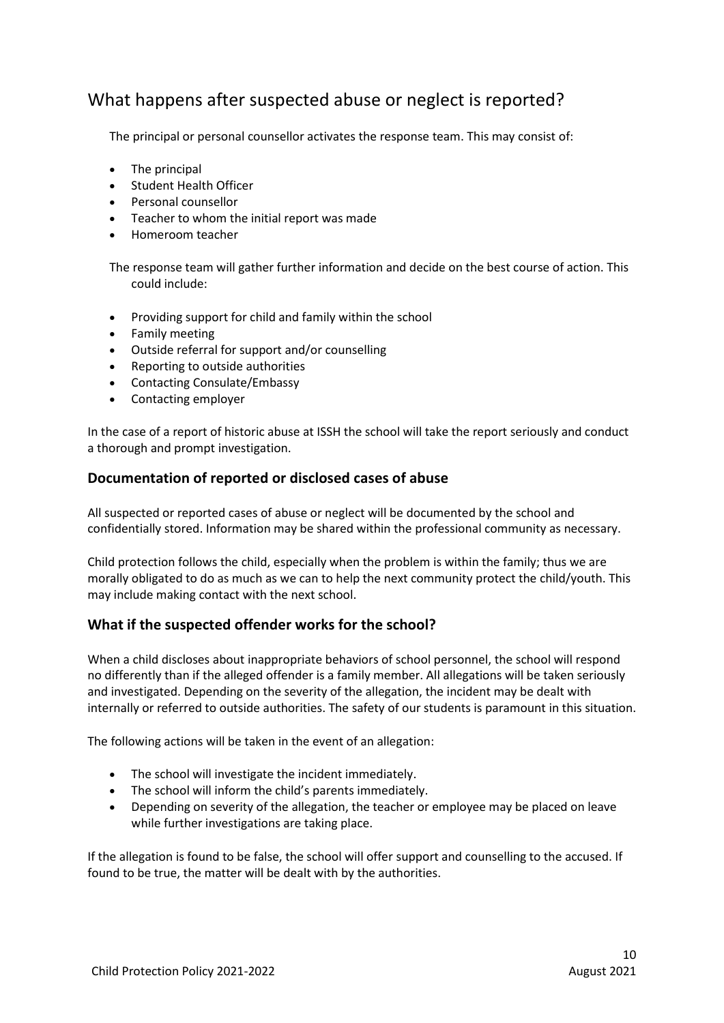## <span id="page-9-0"></span>What happens after suspected abuse or neglect is reported?

The principal or personal counsellor activates the response team. This may consist of:

- The principal
- Student Health Officer
- Personal counsellor
- Teacher to whom the initial report was made
- Homeroom teacher

The response team will gather further information and decide on the best course of action. This could include:

- Providing support for child and family within the school
- Family meeting
- Outside referral for support and/or counselling
- Reporting to outside authorities
- Contacting Consulate/Embassy
- Contacting employer

In the case of a report of historic abuse at ISSH the school will take the report seriously and conduct a thorough and prompt investigation.

#### <span id="page-9-1"></span>**Documentation of reported or disclosed cases of abuse**

All suspected or reported cases of abuse or neglect will be documented by the school and confidentially stored. Information may be shared within the professional community as necessary.

Child protection follows the child, especially when the problem is within the family; thus we are morally obligated to do as much as we can to help the next community protect the child/youth. This may include making contact with the next school.

#### <span id="page-9-2"></span>**What if the suspected offender works for the school?**

When a child discloses about inappropriate behaviors of school personnel, the school will respond no differently than if the alleged offender is a family member. All allegations will be taken seriously and investigated. Depending on the severity of the allegation, the incident may be dealt with internally or referred to outside authorities. The safety of our students is paramount in this situation.

The following actions will be taken in the event of an allegation:

- The school will investigate the incident immediately.
- The school will inform the child's parents immediately.
- Depending on severity of the allegation, the teacher or employee may be placed on leave while further investigations are taking place.

If the allegation is found to be false, the school will offer support and counselling to the accused. If found to be true, the matter will be dealt with by the authorities.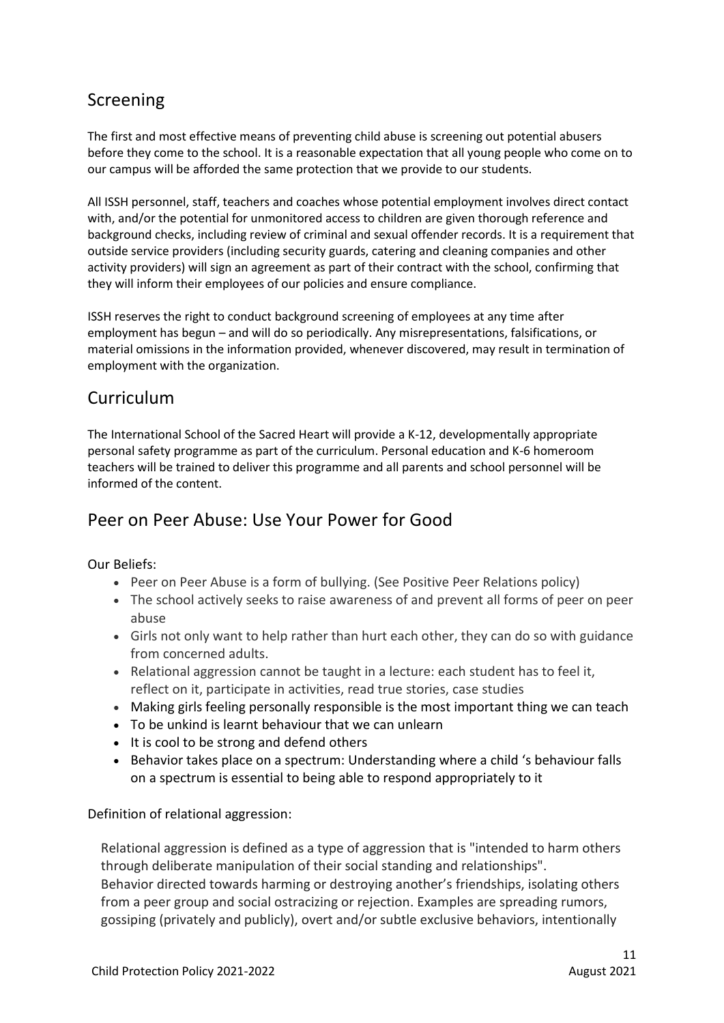# <span id="page-10-0"></span>Screening

The first and most effective means of preventing child abuse is screening out potential abusers before they come to the school. It is a reasonable expectation that all young people who come on to our campus will be afforded the same protection that we provide to our students.

All ISSH personnel, staff, teachers and coaches whose potential employment involves direct contact with, and/or the potential for unmonitored access to children are given thorough reference and background checks, including review of criminal and sexual offender records. It is a requirement that outside service providers (including security guards, catering and cleaning companies and other activity providers) will sign an agreement as part of their contract with the school, confirming that they will inform their employees of our policies and ensure compliance.

ISSH reserves the right to conduct background screening of employees at any time after employment has begun – and will do so periodically. Any misrepresentations, falsifications, or material omissions in the information provided, whenever discovered, may result in termination of employment with the organization.

# <span id="page-10-1"></span>Curriculum

The International School of the Sacred Heart will provide a K-12, developmentally appropriate personal safety programme as part of the curriculum. Personal education and K-6 homeroom teachers will be trained to deliver this programme and all parents and school personnel will be informed of the content.

## Peer on Peer Abuse: Use Your Power for Good

Our Beliefs:

- Peer on Peer Abuse is a form of bullying. (See Positive Peer Relations policy)
- The school actively seeks to raise awareness of and prevent all forms of peer on peer abuse
- Girls not only want to help rather than hurt each other, they can do so with guidance from concerned adults.
- $\bullet$  Relational aggression cannot be taught in a lecture: each student has to feel it, reflect on it, participate in activities, read true stories, case studies
- Making girls feeling personally responsible is the most important thing we can teach
- To be unkind is learnt behaviour that we can unlearn
- It is cool to be strong and defend others
- Behavior takes place on a spectrum: Understanding where a child 's behaviour falls on a spectrum is essential to being able to respond appropriately to it

Definition of relational aggression:

Relational aggression is defined as a type of aggression that is "intended to harm others through deliberate manipulation of their social standing and relationships". Behavior directed towards harming or destroying another's friendships, isolating others from a peer group and social ostracizing or rejection. Examples are spreading rumors, gossiping (privately and publicly), overt and/or subtle exclusive behaviors, intentionally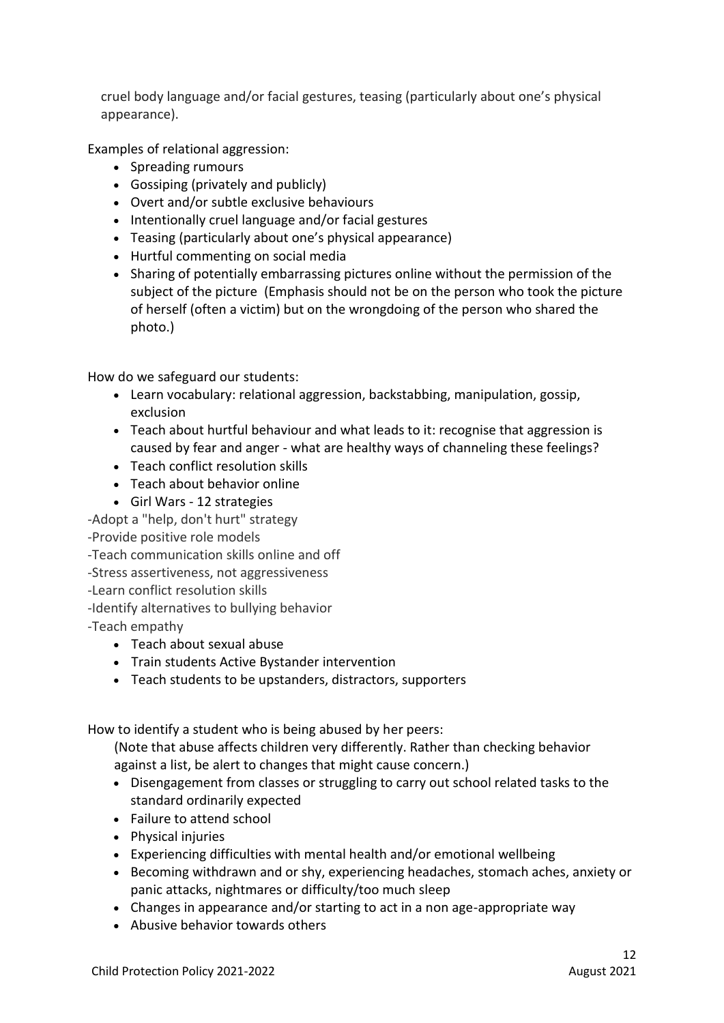cruel body language and/or facial gestures, teasing (particularly about one's physical appearance).

Examples of relational aggression:

- Spreading rumours
- Gossiping (privately and publicly)
- Overt and/or subtle exclusive behaviours
- Intentionally cruel language and/or facial gestures
- Teasing (particularly about one's physical appearance)
- Hurtful commenting on social media
- Sharing of potentially embarrassing pictures online without the permission of the subject of the picture (Emphasis should not be on the person who took the picture of herself (often a victim) but on the wrongdoing of the person who shared the photo.)

How do we safeguard our students:

- Learn vocabulary: relational aggression, backstabbing, manipulation, gossip, exclusion
- Teach about hurtful behaviour and what leads to it: recognise that aggression is caused by fear and anger - what are healthy ways of channeling these feelings?
- Teach conflict resolution skills
- Teach about behavior online
- Girl Wars 12 strategies

-Adopt a "help, don't hurt" strategy

-Provide positive role models

- -Teach communication skills online and off
- -Stress assertiveness, not aggressiveness
- -Learn conflict resolution skills
- -Identify alternatives to bullying behavior

-Teach empathy

- Teach about sexual abuse
- Train students Active Bystander intervention
- Teach students to be upstanders, distractors, supporters

How to identify a student who is being abused by her peers:

(Note that abuse affects children very differently. Rather than checking behavior against a list, be alert to changes that might cause concern.)

- Disengagement from classes or struggling to carry out school related tasks to the standard ordinarily expected
- Failure to attend school
- Physical injuries
- Experiencing difficulties with mental health and/or emotional wellbeing
- Becoming withdrawn and or shy, experiencing headaches, stomach aches, anxiety or panic attacks, nightmares or difficulty/too much sleep
- Changes in appearance and/or starting to act in a non age-appropriate way
- Abusive behavior towards others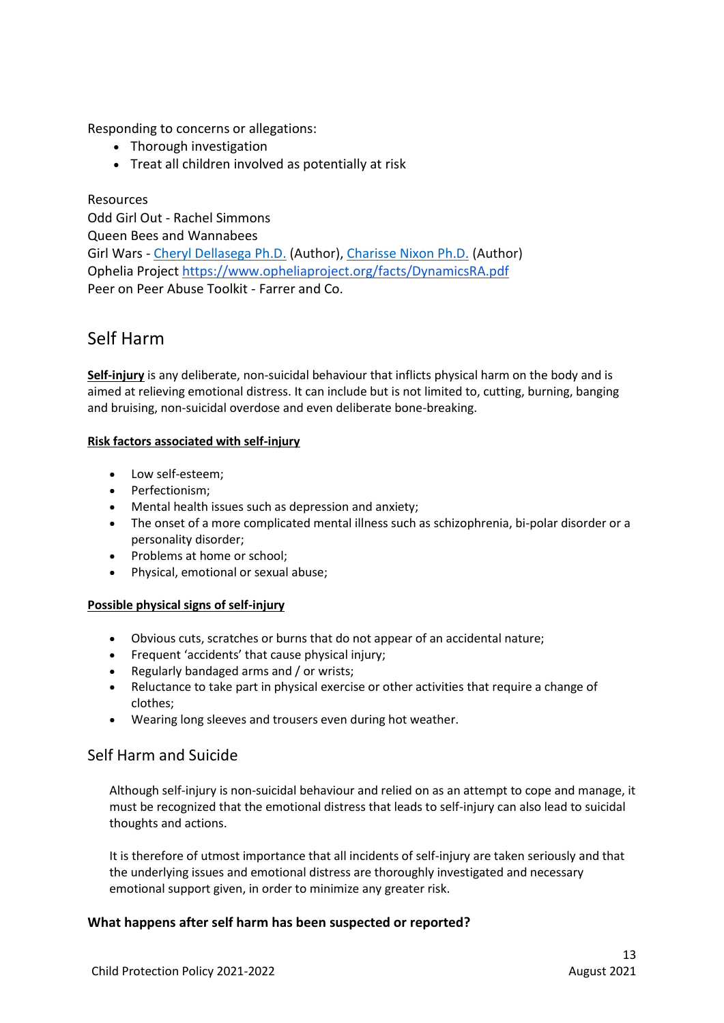Responding to concerns or allegations:

- Thorough investigation
- Treat all children involved as potentially at risk

Resources Odd Girl Out - Rachel Simmons Queen Bees and Wannabees Girl Wars - [Cheryl Dellasega Ph.D.](https://www.amazon.com/s/ref=dp_byline_sr_book_1?ie=UTF8&text=Cheryl+Dellasega+Ph.D.&search-alias=books&field-author=Cheryl+Dellasega+Ph.D.&sort=relevancerank) (Author), [Charisse Nixon Ph.D.](https://www.amazon.com/s/ref=dp_byline_sr_book_2?ie=UTF8&text=Charisse+Nixon+Ph.D.&search-alias=books&field-author=Charisse+Nixon+Ph.D.&sort=relevancerank) (Author) Ophelia Project<https://www.opheliaproject.org/facts/DynamicsRA.pdf> Peer on Peer Abuse Toolkit - Farrer and Co.

### <span id="page-12-0"></span>Self Harm

**Self-injury** is any deliberate, non-suicidal behaviour that inflicts physical harm on the body and is aimed at relieving emotional distress. It can include but is not limited to, cutting, burning, banging and bruising, non-suicidal overdose and even deliberate bone-breaking.

#### **Risk factors associated with self-injury**

- Low self-esteem:
- Perfectionism;
- Mental health issues such as depression and anxiety;
- The onset of a more complicated mental illness such as schizophrenia, bi-polar disorder or a personality disorder;
- Problems at home or school;
- Physical, emotional or sexual abuse;

#### **Possible physical signs of self-injury**

- Obvious cuts, scratches or burns that do not appear of an accidental nature;
- Frequent 'accidents' that cause physical injury;
- Regularly bandaged arms and / or wrists;
- Reluctance to take part in physical exercise or other activities that require a change of clothes;
- Wearing long sleeves and trousers even during hot weather.

### Self Harm and Suicide

Although self-injury is non-suicidal behaviour and relied on as an attempt to cope and manage, it must be recognized that the emotional distress that leads to self-injury can also lead to suicidal thoughts and actions.

It is therefore of utmost importance that all incidents of self-injury are taken seriously and that the underlying issues and emotional distress are thoroughly investigated and necessary emotional support given, in order to minimize any greater risk.

#### **What happens after self harm has been suspected or reported?**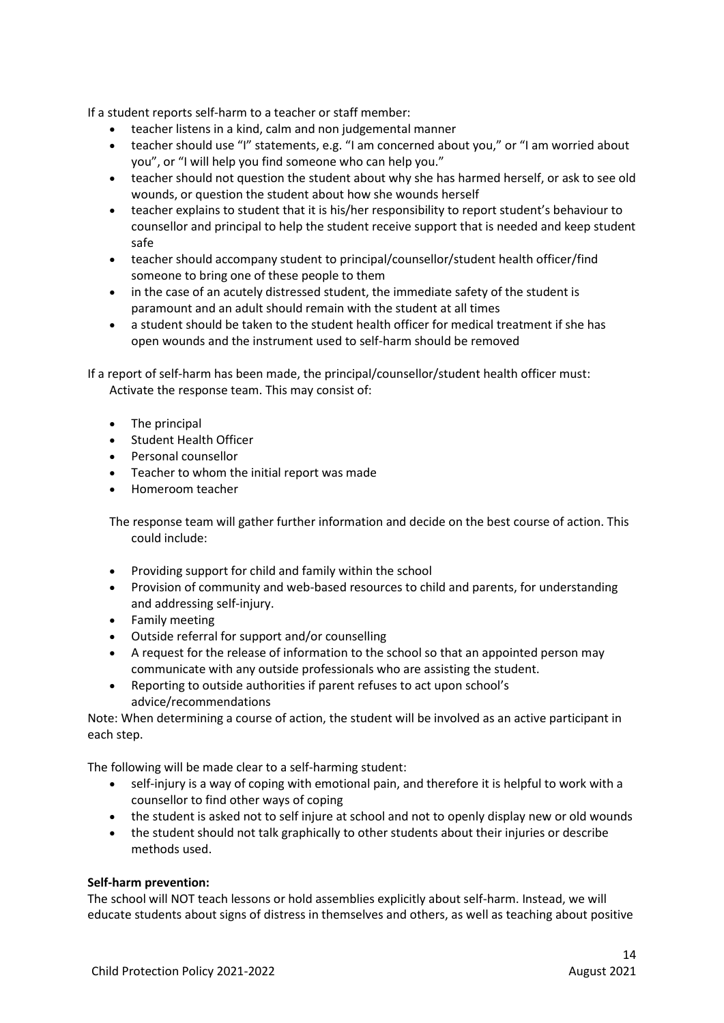If a student reports self-harm to a teacher or staff member:

- teacher listens in a kind, calm and non judgemental manner
- teacher should use "I" statements, e.g. "I am concerned about you," or "I am worried about you", or "I will help you find someone who can help you."
- teacher should not question the student about why she has harmed herself, or ask to see old wounds, or question the student about how she wounds herself
- teacher explains to student that it is his/her responsibility to report student's behaviour to counsellor and principal to help the student receive support that is needed and keep student safe
- teacher should accompany student to principal/counsellor/student health officer/find someone to bring one of these people to them
- in the case of an acutely distressed student, the immediate safety of the student is paramount and an adult should remain with the student at all times
- a student should be taken to the student health officer for medical treatment if she has open wounds and the instrument used to self-harm should be removed

If a report of self-harm has been made, the principal/counsellor/student health officer must: Activate the response team. This may consist of:

- The principal
- Student Health Officer
- Personal counsellor
- Teacher to whom the initial report was made
- Homeroom teacher

The response team will gather further information and decide on the best course of action. This could include:

- Providing support for child and family within the school
- Provision of community and web-based resources to child and parents, for understanding and addressing self-injury.
- Family meeting
- Outside referral for support and/or counselling
- A request for the release of information to the school so that an appointed person may communicate with any outside professionals who are assisting the student.
- Reporting to outside authorities if parent refuses to act upon school's advice/recommendations

Note: When determining a course of action, the student will be involved as an active participant in each step.

The following will be made clear to a self-harming student:

- self-injury is a way of coping with emotional pain, and therefore it is helpful to work with a counsellor to find other ways of coping
- the student is asked not to self injure at school and not to openly display new or old wounds
- the student should not talk graphically to other students about their injuries or describe methods used.

#### **Self-harm prevention:**

The school will NOT teach lessons or hold assemblies explicitly about self-harm. Instead, we will educate students about signs of distress in themselves and others, as well as teaching about positive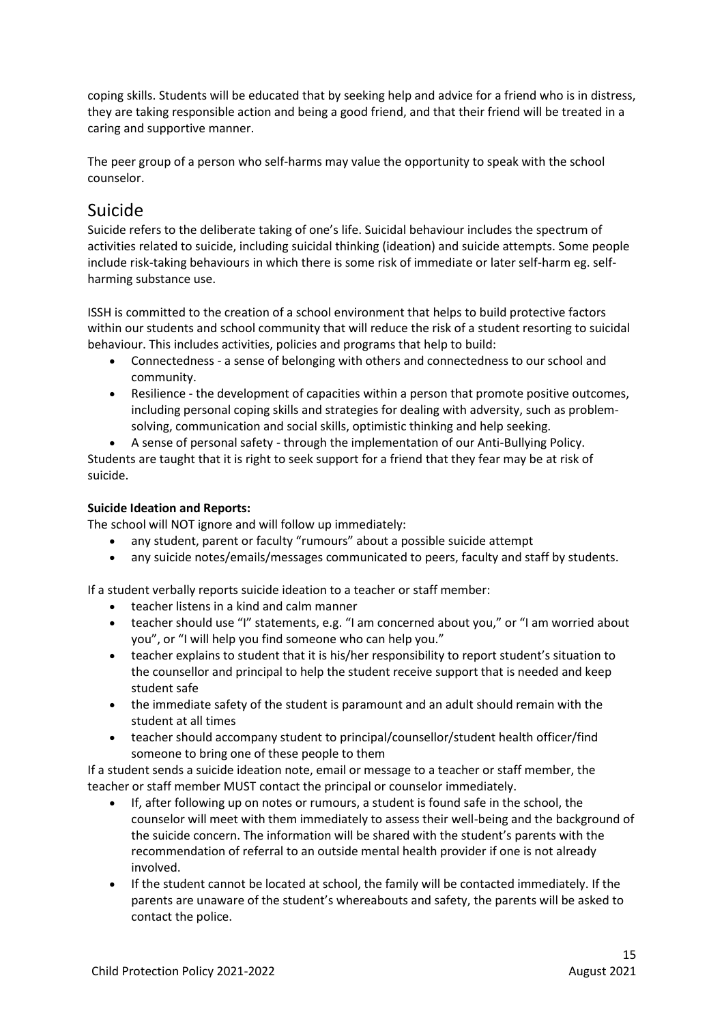coping skills. Students will be educated that by seeking help and advice for a friend who is in distress, they are taking responsible action and being a good friend, and that their friend will be treated in a caring and supportive manner.

The peer group of a person who self-harms may value the opportunity to speak with the school counselor.

## <span id="page-14-0"></span>Suicide

Suicide refers to the deliberate taking of one's life. Suicidal behaviour includes the spectrum of activities related to suicide, including suicidal thinking (ideation) and suicide attempts. Some people include risk-taking behaviours in which there is some risk of immediate or later self-harm eg. selfharming substance use.

ISSH is committed to the creation of a school environment that helps to build protective factors within our students and school community that will reduce the risk of a student resorting to suicidal behaviour. This includes activities, policies and programs that help to build:

- Connectedness a sense of belonging with others and connectedness to our school and community.
- Resilience the development of capacities within a person that promote positive outcomes, including personal coping skills and strategies for dealing with adversity, such as problemsolving, communication and social skills, optimistic thinking and help seeking.

 A sense of personal safety - through the implementation of our Anti-Bullying Policy. Students are taught that it is right to seek support for a friend that they fear may be at risk of suicide.

### **Suicide Ideation and Reports:**

The school will NOT ignore and will follow up immediately:

- any student, parent or faculty "rumours" about a possible suicide attempt
- any suicide notes/emails/messages communicated to peers, faculty and staff by students.

If a student verbally reports suicide ideation to a teacher or staff member:

- teacher listens in a kind and calm manner
- teacher should use "I" statements, e.g. "I am concerned about you," or "I am worried about you", or "I will help you find someone who can help you."
- teacher explains to student that it is his/her responsibility to report student's situation to the counsellor and principal to help the student receive support that is needed and keep student safe
- the immediate safety of the student is paramount and an adult should remain with the student at all times
- teacher should accompany student to principal/counsellor/student health officer/find someone to bring one of these people to them

If a student sends a suicide ideation note, email or message to a teacher or staff member, the teacher or staff member MUST contact the principal or counselor immediately.

- If, after following up on notes or rumours, a student is found safe in the school, the counselor will meet with them immediately to assess their well-being and the background of the suicide concern. The information will be shared with the student's parents with the recommendation of referral to an outside mental health provider if one is not already involved.
- If the student cannot be located at school, the family will be contacted immediately. If the parents are unaware of the student's whereabouts and safety, the parents will be asked to contact the police.